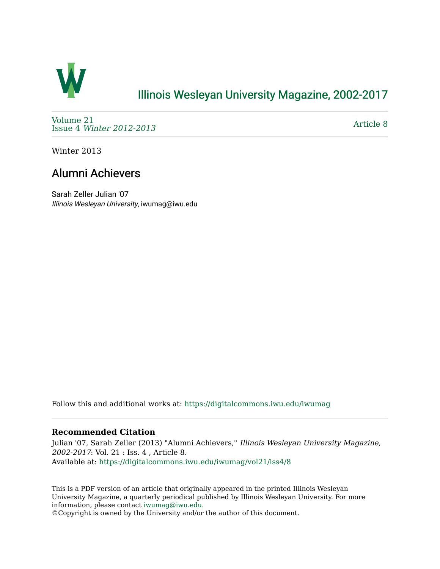

## [Illinois Wesleyan University Magazine, 2002-2017](https://digitalcommons.iwu.edu/iwumag)

[Volume 21](https://digitalcommons.iwu.edu/iwumag/vol21)  Issue 4 [Winter 2012-2013](https://digitalcommons.iwu.edu/iwumag/vol21/iss4)

[Article 8](https://digitalcommons.iwu.edu/iwumag/vol21/iss4/8) 

Winter 2013

# Alumni Achievers

Sarah Zeller Julian '07 Illinois Wesleyan University, iwumag@iwu.edu

Follow this and additional works at: [https://digitalcommons.iwu.edu/iwumag](https://digitalcommons.iwu.edu/iwumag?utm_source=digitalcommons.iwu.edu%2Fiwumag%2Fvol21%2Fiss4%2F8&utm_medium=PDF&utm_campaign=PDFCoverPages) 

### **Recommended Citation**

Julian '07, Sarah Zeller (2013) "Alumni Achievers," Illinois Wesleyan University Magazine, 2002-2017: Vol. 21 : Iss. 4 , Article 8. Available at: [https://digitalcommons.iwu.edu/iwumag/vol21/iss4/8](https://digitalcommons.iwu.edu/iwumag/vol21/iss4/8?utm_source=digitalcommons.iwu.edu%2Fiwumag%2Fvol21%2Fiss4%2F8&utm_medium=PDF&utm_campaign=PDFCoverPages)

This is a PDF version of an article that originally appeared in the printed Illinois Wesleyan University Magazine, a quarterly periodical published by Illinois Wesleyan University. For more information, please contact [iwumag@iwu.edu](mailto:iwumag@iwu.edu).

©Copyright is owned by the University and/or the author of this document.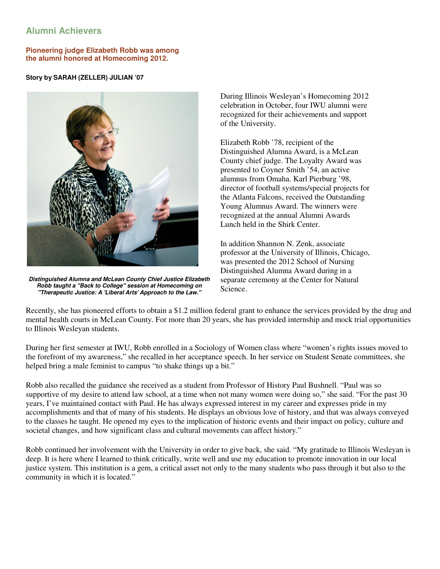### **Alumni Achievers**

**Pioneering judge Elizabeth Robb was among the alumni honored at Homecoming 2012.** 

#### **Story by SARAH (ZELLER) JULIAN '07**



**Distinguished Alumna and McLean County Chief Justice Elizabeth Robb taught a "Back to College" session at Homecoming on "Therapeutic Justice: A 'Liberal Arts' Approach to the Law."**

During Illinois Wesleyan's Homecoming 2012 celebration in October, four IWU alumni were recognized for their achievements and support of the University.

Elizabeth Robb '78, recipient of the Distinguished Alumna Award, is a McLean County chief judge. The Loyalty Award was presented to Coyner Smith '54, an active alumnus from Omaha. Karl Pierburg '98, director of football systems/special projects for the Atlanta Falcons, received the Outstanding Young Alumnus Award. The winners were recognized at the annual Alumni Awards Lunch held in the Shirk Center.

In addition Shannon N. Zenk, associate professor at the University of Illinois, Chicago, was presented the 2012 School of Nursing Distinguished Alumna Award during in a separate ceremony at the Center for Natural Science.

Recently, she has pioneered efforts to obtain a \$1.2 million federal grant to enhance the services provided by the drug and mental health courts in McLean County. For more than 20 years, she has provided internship and mock trial opportunities to Illinois Wesleyan students.

During her first semester at IWU, Robb enrolled in a Sociology of Women class where "women's rights issues moved to the forefront of my awareness," she recalled in her acceptance speech. In her service on Student Senate committees, she helped bring a male feminist to campus "to shake things up a bit."

Robb also recalled the guidance she received as a student from Professor of History Paul Bushnell. "Paul was so supportive of my desire to attend law school, at a time when not many women were doing so," she said. "For the past 30 years, I've maintained contact with Paul. He has always expressed interest in my career and expresses pride in my accomplishments and that of many of his students. He displays an obvious love of history, and that was always conveyed to the classes he taught. He opened my eyes to the implication of historic events and their impact on policy, culture and societal changes, and how significant class and cultural movements can affect history."

Robb continued her involvement with the University in order to give back, she said. "My gratitude to Illinois Wesleyan is deep. It is here where I learned to think critically, write well and use my education to promote innovation in our local justice system. This institution is a gem, a critical asset not only to the many students who pass through it but also to the community in which it is located."